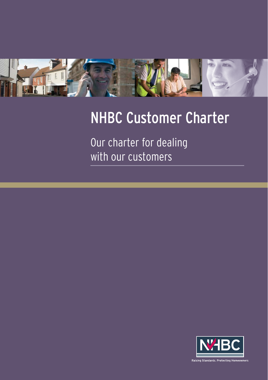

# NHBC Customer Charter

Our charter for dealing with our customers

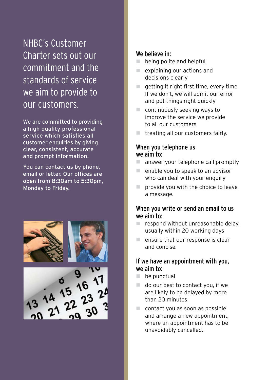NHBC's Customer Charter sets out our commitment and the standards of service we aim to provide to our customers.

We are committed to providing a high quality professional service which satisfies all customer enquiries by giving clear, consistent, accurate and prompt information.

You can contact us by phone, email or letter. Our offices are open from 8:30am to 5:30pm, Monday to Friday.





## We believe in:

- $\blacksquare$  being polite and helpful
- $\blacksquare$  explaining our actions and decisions clearly
- $\blacksquare$  getting it right first time, every time. If we don't, we will admit our error and put things right quickly
- $\Box$  continuously seeking ways to improve the service we provide to all our customers
- treating all our customers fairly.

#### When you telephone us we aim to:

- answer your telephone call promptly
- $\Box$  enable you to speak to an advisor who can deal with your enquiry
- $\blacksquare$  provide you with the choice to leave a message.

# When you write or send an email to us we aim to:

- respond without unreasonable delay. usually within 20 working days
- $n =$  ensure that our response is clear and concise.

## If we have an appointment with you, we aim to:

- $\Box$  be punctual
- $\Box$  do our best to contact you, if we are likely to be delayed by more than 20 minutes
- $\Box$  contact you as soon as possible and arrange a new appointment, where an appointment has to be unavoidably cancelled.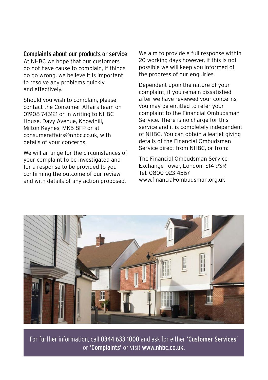### Complaints about our products or service

At NHBC we hope that our customers do not have cause to complain, if things do go wrong, we believe it is important to resolve any problems quickly and effectively.

Should you wish to complain, please contact the Consumer Affairs team on 01908 746121 or in writing to NHBC House, Davy Avenue, Knowlhill, Milton Keynes, MK5 8FP or at consumeraffairs@nhbc.co.uk, with details of your concerns.

We will arrange for the circumstances of your complaint to be investigated and for a response to be provided to you confirming the outcome of our review and with details of any action proposed.

We aim to provide a full response within 20 working days however, if this is not possible we will keep you informed of the progress of our enquiries.

Dependent upon the nature of your complaint, if you remain dissatisfied after we have reviewed your concerns, you may be entitled to refer your complaint to the Financial Ombudsman Service. There is no charge for this service and it is completely independent of NHBC. You can obtain a leaflet giving details of the Financial Ombudsman Service direct from NHBC, or from:

The Financial Ombudsman Service Exchange Tower, London, E14 9SR Tel: 0800 023 4567 www.financial-ombudsman.org.uk



For further information, call 0344 633 1000 and ask for either 'Customer Services' or 'Complaints' or visit www.nhbc.co.uk.